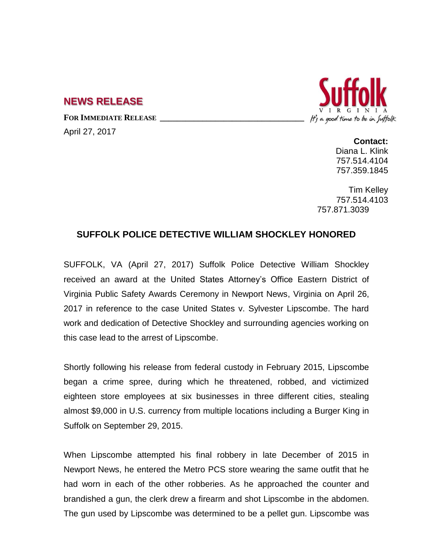## **NEWS RELEASE**

**FOR IMMEDIATE RELEASE \_\_\_\_\_\_\_\_\_\_\_\_\_\_\_\_\_\_\_\_\_\_\_\_\_\_\_\_\_\_\_\_\_\_**

April 27, 2017



**Contact:** Diana L. Klink 757.514.4104 757.359.1845

Tim Kelley 757.514.4103 757.871.3039

## **SUFFOLK POLICE DETECTIVE WILLIAM SHOCKLEY HONORED**

SUFFOLK, VA (April 27, 2017) Suffolk Police Detective William Shockley received an award at the United States Attorney's Office Eastern District of Virginia Public Safety Awards Ceremony in Newport News, Virginia on April 26, 2017 in reference to the case United States v. Sylvester Lipscombe. The hard work and dedication of Detective Shockley and surrounding agencies working on this case lead to the arrest of Lipscombe.

Shortly following his release from federal custody in February 2015, Lipscombe began a crime spree, during which he threatened, robbed, and victimized eighteen store employees at six businesses in three different cities, stealing almost \$9,000 in U.S. currency from multiple locations including a Burger King in Suffolk on September 29, 2015.

When Lipscombe attempted his final robbery in late December of 2015 in Newport News, he entered the Metro PCS store wearing the same outfit that he had worn in each of the other robberies. As he approached the counter and brandished a gun, the clerk drew a firearm and shot Lipscombe in the abdomen. The gun used by Lipscombe was determined to be a pellet gun. Lipscombe was